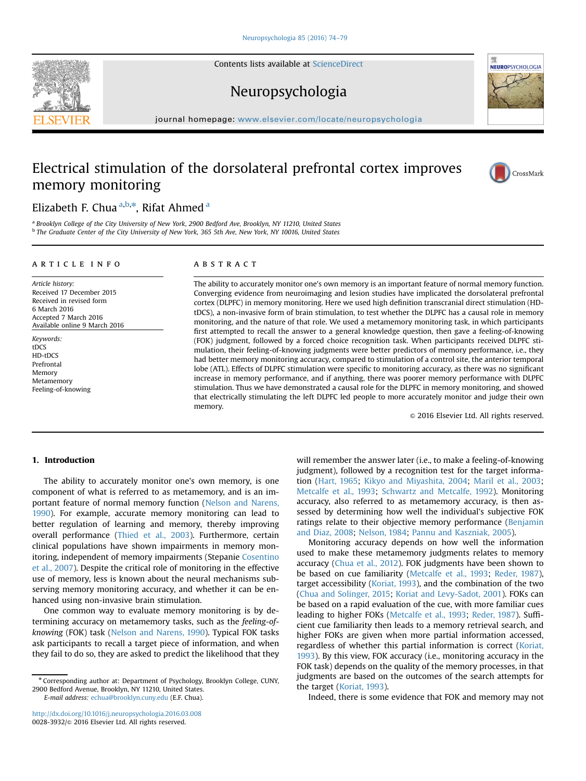Contents lists available at [ScienceDirect](www.sciencedirect.com/science/journal/00283932)

## Neuropsychologia

journal homepage: <www.elsevier.com/locate/neuropsychologia>

### Electrical stimulation of the dorsolateral prefrontal cortex improves memory monitoring

### Elizabeth F. Chua <sup>a,b,\*</sup>, Rifat Ahmed <sup>a</sup>

<sup>a</sup> Brooklyn College of the City University of New York, 2900 Bedford Ave, Brooklyn, NY 11210, United States b The Graduate Center of the City University of New York, 365 5th Ave, New York, NY 10016, United States

#### article info

Article history: Received 17 December 2015 Received in revised form 6 March 2016 Accepted 7 March 2016 Available online 9 March 2016

Keywords: tDCS HD-tDCS Prefrontal Memory Metamemory Feeling-of-knowing

#### **ABSTRACT**

The ability to accurately monitor one's own memory is an important feature of normal memory function. Converging evidence from neuroimaging and lesion studies have implicated the dorsolateral prefrontal cortex (DLPFC) in memory monitoring. Here we used high definition transcranial direct stimulation (HDtDCS), a non-invasive form of brain stimulation, to test whether the DLPFC has a causal role in memory monitoring, and the nature of that role. We used a metamemory monitoring task, in which participants first attempted to recall the answer to a general knowledge question, then gave a feeling-of-knowing (FOK) judgment, followed by a forced choice recognition task. When participants received DLPFC stimulation, their feeling-of-knowing judgments were better predictors of memory performance, i.e., they had better memory monitoring accuracy, compared to stimulation of a control site, the anterior temporal lobe (ATL). Effects of DLPFC stimulation were specific to monitoring accuracy, as there was no significant increase in memory performance, and if anything, there was poorer memory performance with DLPFC stimulation. Thus we have demonstrated a causal role for the DLPFC in memory monitoring, and showed that electrically stimulating the left DLPFC led people to more accurately monitor and judge their own memory.

 $©$  2016 Elsevier Ltd. All rights reserved.

#### 1. Introduction

The ability to accurately monitor one's own memory, is one component of what is referred to as metamemory, and is an important feature of normal memory function (Nelson and Narens, 1990). For example, accurate memory monitoring can lead to better regulation of learning and memory, thereby improving overall performance (Thied et al., 2003). Furthermore, certain clinical populations have shown impairments in memory monitoring, independent of memory impairments (Stepanie Cosentino et al., 2007). Despite the critical role of monitoring in the effective use of memory, less is known about the neural mechanisms subserving memory monitoring accuracy, and whether it can be enhanced using non-invasive brain stimulation.

One common way to evaluate memory monitoring is by determining accuracy on metamemory tasks, such as the feeling-ofknowing (FOK) task (Nelson and Narens, 1990). Typical FOK tasks ask participants to recall a target piece of information, and when they fail to do so, they are asked to predict the likelihood that they

<http://dx.doi.org/10.1016/j.neuropsychologia.2016.03.008> 0028-3932/& 2016 Elsevier Ltd. All rights reserved.

will remember the answer later (i.e., to make a feeling-of-knowing judgment), followed by a recognition test for the target information (Hart, 1965; Kikyo and Miyashita, 2004; Maril et al., 2003; Metcalfe et al., 1993; Schwartz and Metcalfe, 1992). Monitoring accuracy, also referred to as metamemory accuracy, is then assessed by determining how well the individual's subjective FOK ratings relate to their objective memory performance (Benjamin and Diaz, 2008; Nelson, 1984; Pannu and Kaszniak, 2005).

Monitoring accuracy depends on how well the information used to make these metamemory judgments relates to memory accuracy (Chua et al., 2012). FOK judgments have been shown to be based on cue familiarity (Metcalfe et al., 1993; Reder, 1987), target accessibility (Koriat, 1993), and the combination of the two (Chua and Solinger, 2015; Koriat and Levy-Sadot, 2001). FOKs can be based on a rapid evaluation of the cue, with more familiar cues leading to higher FOKs (Metcalfe et al., 1993; Reder, 1987). Sufficient cue familiarity then leads to a memory retrieval search, and higher FOKs are given when more partial information accessed, regardless of whether this partial information is correct (Koriat, 1993). By this view, FOK accuracy (i.e., monitoring accuracy in the FOK task) depends on the quality of the memory processes, in that judgments are based on the outcomes of the search attempts for the target (Koriat, 1993).

Indeed, there is some evidence that FOK and memory may not







<sup>n</sup> Corresponding author at: Department of Psychology, Brooklyn College, CUNY, 2900 Bedford Avenue, Brooklyn, NY 11210, United States. E-mail address: [echua@brooklyn.cuny.edu](mailto:echua@brooklyn.cuny.edu) (E.F. Chua).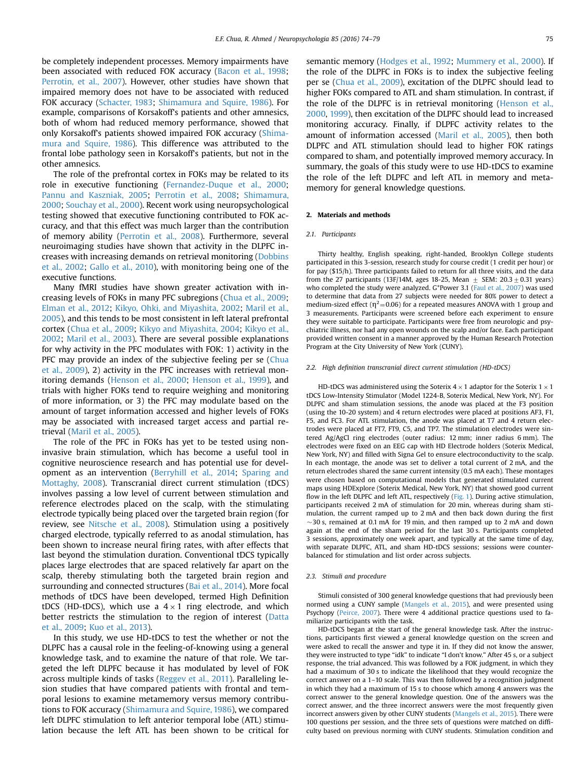be completely independent processes. Memory impairments have been associated with reduced FOK accuracy (Bacon et al., 1998; Perrotin, et al., 2007). However, other studies have shown that impaired memory does not have to be associated with reduced FOK accuracy (Schacter, 1983; Shimamura and Squire, 1986). For example, comparisons of Korsakoff's patients and other amnesics, both of whom had reduced memory performance, showed that only Korsakoff's patients showed impaired FOK accuracy (Shimamura and Squire, 1986). This difference was attributed to the frontal lobe pathology seen in Korsakoff's patients, but not in the other amnesics.

The role of the prefrontal cortex in FOKs may be related to its role in executive functioning (Fernandez-Duque et al., 2000; Pannu and Kaszniak, 2005; Perrotin et al., 2008; Shimamura, 2000; Souchay et al., 2000). Recent work using neuropsychological testing showed that executive functioning contributed to FOK accuracy, and that this effect was much larger than the contribution of memory ability (Perrotin et al., 2008). Furthermore, several neuroimaging studies have shown that activity in the DLPFC increases with increasing demands on retrieval monitoring (Dobbins et al., 2002; Gallo et al., 2010), with monitoring being one of the executive functions.

Many fMRI studies have shown greater activation with increasing levels of FOKs in many PFC subregions (Chua et al., 2009; Elman et al., 2012; Kikyo, Ohki, and Miyashita, 2002; Maril et al., 2005), and this tends to be most consistent in left lateral prefrontal cortex (Chua et al., 2009; Kikyo and Miyashita, 2004; Kikyo et al., 2002; Maril et al., 2003). There are several possible explanations for why activity in the PFC modulates with FOK: 1) activity in the PFC may provide an index of the subjective feeling per se (Chua et al., 2009), 2) activity in the PFC increases with retrieval monitoring demands (Henson et al., 2000; Henson et al., 1999), and trials with higher FOKs tend to require weighing and monitoring of more information, or 3) the PFC may modulate based on the amount of target information accessed and higher levels of FOKs may be associated with increased target access and partial retrieval (Maril et al., 2005).

The role of the PFC in FOKs has yet to be tested using noninvasive brain stimulation, which has become a useful tool in cognitive neuroscience research and has potential use for development as an intervention (Berryhill et al., 2014; Sparing and Mottaghy, 2008). Transcranial direct current stimulation (tDCS) involves passing a low level of current between stimulation and reference electrodes placed on the scalp, with the stimulating electrode typically being placed over the targeted brain region (for review, see Nitsche et al., 2008). Stimulation using a positively charged electrode, typically referred to as anodal stimulation, has been shown to increase neural firing rates, with after effects that last beyond the stimulation duration. Conventional tDCS typically places large electrodes that are spaced relatively far apart on the scalp, thereby stimulating both the targeted brain region and surrounding and connected structures (Bai et al., 2014). More focal methods of tDCS have been developed, termed High Definition tDCS (HD-tDCS), which use a  $4 \times 1$  ring electrode, and which better restricts the stimulation to the region of interest (Datta et al., 2009; Kuo et al., 2013).

In this study, we use HD-tDCS to test the whether or not the DLPFC has a causal role in the feeling-of-knowing using a general knowledge task, and to examine the nature of that role. We targeted the left DLPFC because it has modulated by level of FOK across multiple kinds of tasks (Reggev et al., 2011). Paralleling lesion studies that have compared patients with frontal and temporal lesions to examine metamemory versus memory contributions to FOK accuracy (Shimamura and Squire, 1986), we compared left DLPFC stimulation to left anterior temporal lobe (ATL) stimulation because the left ATL has been shown to be critical for semantic memory (Hodges et al., 1992; Mummery et al., 2000). If the role of the DLPFC in FOKs is to index the subjective feeling per se (Chua et al., 2009), excitation of the DLPFC should lead to higher FOKs compared to ATL and sham stimulation. In contrast, if the role of the DLPFC is in retrieval monitoring (Henson et al., 2000, 1999), then excitation of the DLPFC should lead to increased monitoring accuracy. Finally, if DLPFC activity relates to the amount of information accessed (Maril et al., 2005), then both DLPFC and ATL stimulation should lead to higher FOK ratings compared to sham, and potentially improved memory accuracy. In summary, the goals of this study were to use HD-tDCS to examine the role of the left DLPFC and left ATL in memory and metamemory for general knowledge questions.

#### 2. Materials and methods

#### 2.1. Participants

Thirty healthy, English speaking, right-handed, Brooklyn College students participated in this 3-session, research study for course credit (1 credit per hour) or for pay (\$15/h). Three participants failed to return for all three visits, and the data from the 27 participants (13F/14M, ages 18-25, Mean  $\pm$  SEM: 20.3 $\pm$ 0.31 years) who completed the study were analyzed. G\*Power 3.1 (Faul et al., 2007) was used to determine that data from 27 subjects were needed for 80% power to detect a medium-sized effect ( $\eta^2$ =0.06) for a repeated measures ANOVA with 1 group and 3 measurements. Participants were screened before each experiment to ensure they were suitable to participate. Participants were free from neurologic and psychiatric illness, nor had any open wounds on the scalp and/or face. Each participant provided written consent in a manner approved by the Human Research Protection Program at the City University of New York (CUNY).

#### 2.2. High definition transcranial direct current stimulation (HD-tDCS)

HD-tDCS was administered using the Soterix  $4 \times 1$  adaptor for the Soterix  $1 \times 1$ tDCS Low-Intensity Stimulator (Model 1224-B, Soterix Medical, New York, NY). For DLPFC and sham stimulation sessions, the anode was placed at the F3 position (using the 10-20 system) and 4 return electrodes were placed at positions AF3, F1, F5, and FC3. For ATL stimulation, the anode was placed at T7 and 4 return electrodes were placed at FT7, FT9, C5, and TP7. The stimulation electrodes were sintered Ag/AgCl ring electrodes (outer radius: 12 mm; inner radius 6 mm). The electrodes were fixed on an EEG cap with HD Electrode holders (Soterix Medical, New York, NY) and filled with Signa Gel to ensure electroconductivity to the scalp. In each montage, the anode was set to deliver a total current of 2 mA, and the return electrodes shared the same current intensity (0.5 mA each). These montages were chosen based on computational models that generated stimulated current maps using HDExplore (Soterix Medical, New York, NY) that showed good current flow in the left DLPFC and left ATL, respectively (Fig. 1). During active stimulation, participants received 2 mA of stimulation for 20 min, whereas during sham stimulation, the current ramped up to 2 mA and then back down during the first  $\sim$ 30 s, remained at 0.1 mA for 19 min, and then ramped up to 2 mA and down again at the end of the sham period for the last 30 s. Participants completed 3 sessions, approximately one week apart, and typically at the same time of day, with separate DLPFC, ATL, and sham HD-tDCS sessions; sessions were counterbalanced for stimulation and list order across subjects.

#### 2.3. Stimuli and procedure

Stimuli consisted of 300 general knowledge questions that had previously been normed using a CUNY sample (Mangels et al., 2015), and were presented using Psychopy (Peirce, 2007). There were 4 additional practice questions used to familiarize participants with the task.

HD-tDCS began at the start of the general knowledge task. After the instructions, participants first viewed a general knowledge question on the screen and were asked to recall the answer and type it in. If they did not know the answer, they were instructed to type "idk" to indicate "I don't know." After 45 s, or a subject response, the trial advanced. This was followed by a FOK judgment, in which they had a maximum of 30 s to indicate the likelihood that they would recognize the correct answer on a 1–10 scale. This was then followed by a recognition judgment in which they had a maximum of 15 s to choose which among 4 answers was the correct answer to the general knowledge question. One of the answers was the correct answer, and the three incorrect answers were the most frequently given incorrect answers given by other CUNY students (Mangels et al., 2015). There were 100 questions per session, and the three sets of questions were matched on difficulty based on previous norming with CUNY students. Stimulation condition and